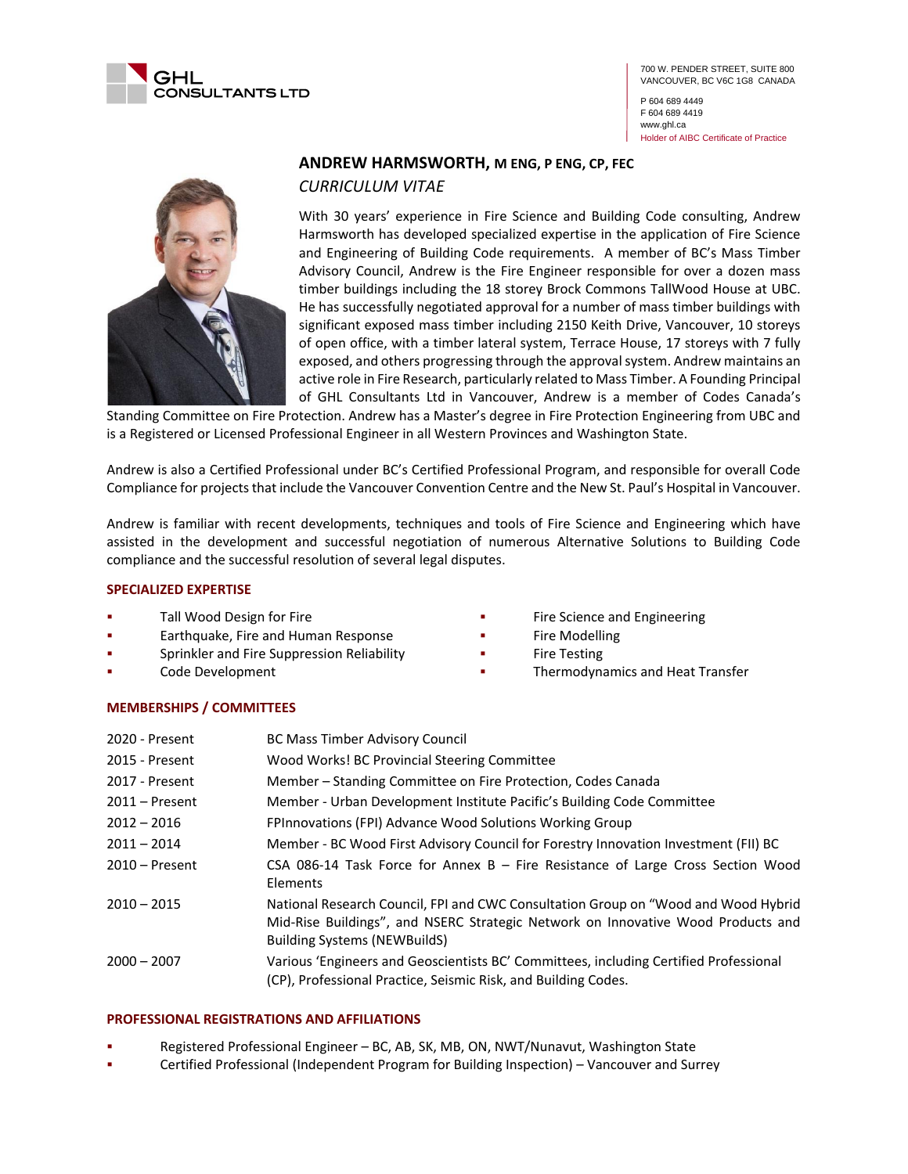

P 604 689 4449 F 604 689 4419 www.ghl.ca Holder of AIBC Certificate of Practice



# **ANDREW HARMSWORTH, M ENG, P ENG, CP, FEC**

*CURRICULUM VITAE*

With 30 years' experience in Fire Science and Building Code consulting, Andrew Harmsworth has developed specialized expertise in the application of Fire Science and Engineering of Building Code requirements. A member of BC's Mass Timber Advisory Council, Andrew is the Fire Engineer responsible for over a dozen mass timber buildings including the 18 storey Brock Commons TallWood House at UBC. He has successfully negotiated approval for a number of mass timber buildings with significant exposed mass timber including 2150 Keith Drive, Vancouver, 10 storeys of open office, with a timber lateral system, Terrace House, 17 storeys with 7 fully exposed, and others progressing through the approval system. Andrew maintains an active role in Fire Research, particularly related to Mass Timber. A Founding Principal of GHL Consultants Ltd in Vancouver, Andrew is a member of Codes Canada's

Standing Committee on Fire Protection. Andrew has a Master's degree in Fire Protection Engineering from UBC and is a Registered or Licensed Professional Engineer in all Western Provinces and Washington State.

Andrew is also a Certified Professional under BC's Certified Professional Program, and responsible for overall Code Compliance for projects that include the Vancouver Convention Centre and the New St. Paul's Hospital in Vancouver.

Andrew is familiar with recent developments, techniques and tools of Fire Science and Engineering which have assisted in the development and successful negotiation of numerous Alternative Solutions to Building Code compliance and the successful resolution of several legal disputes.

# **SPECIALIZED EXPERTISE**

- Tall Wood Design for Fire
- Earthquake, Fire and Human Response
- Sprinkler and Fire Suppression Reliability
- Code Development
- Fire Science and Engineering
- **Fire Modelling**
- **Fire Testing**
- Thermodynamics and Heat Transfer

## **MEMBERSHIPS / COMMITTEES**

| 2020 - Present   | <b>BC Mass Timber Advisory Council</b>                                                                                                                                                                        |
|------------------|---------------------------------------------------------------------------------------------------------------------------------------------------------------------------------------------------------------|
| 2015 - Present   | Wood Works! BC Provincial Steering Committee                                                                                                                                                                  |
| 2017 - Present   | Member – Standing Committee on Fire Protection, Codes Canada                                                                                                                                                  |
| $2011 -$ Present | Member - Urban Development Institute Pacific's Building Code Committee                                                                                                                                        |
| $2012 - 2016$    | FPInnovations (FPI) Advance Wood Solutions Working Group                                                                                                                                                      |
| $2011 - 2014$    | Member - BC Wood First Advisory Council for Forestry Innovation Investment (FII) BC                                                                                                                           |
| $2010 -$ Present | CSA 086-14 Task Force for Annex B $-$ Fire Resistance of Large Cross Section Wood<br><b>Elements</b>                                                                                                          |
| $2010 - 2015$    | National Research Council, FPI and CWC Consultation Group on "Wood and Wood Hybrid<br>Mid-Rise Buildings", and NSERC Strategic Network on Innovative Wood Products and<br><b>Building Systems (NEWBuildS)</b> |
| $2000 - 2007$    | Various 'Engineers and Geoscientists BC' Committees, including Certified Professional<br>(CP), Professional Practice, Seismic Risk, and Building Codes.                                                       |

## **PROFESSIONAL REGISTRATIONS AND AFFILIATIONS**

- Registered Professional Engineer BC, AB, SK, MB, ON, NWT/Nunavut, Washington State
- Certified Professional (Independent Program for Building Inspection) Vancouver and Surrey